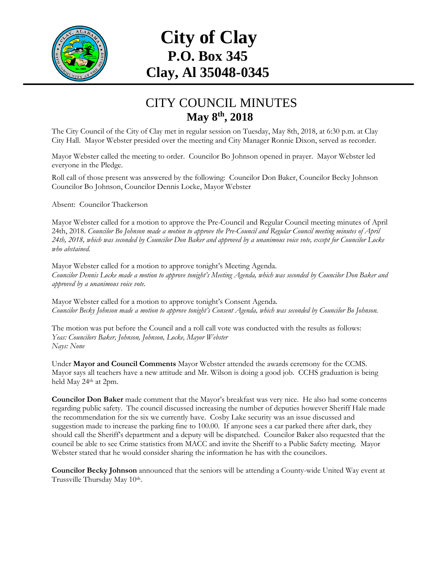

## **City of Clay P.O. Box 345 Clay, Al 35048-0345**

## CITY COUNCIL MINUTES **May 8th , 2018**

The City Council of the City of Clay met in regular session on Tuesday, May 8th, 2018, at 6:30 p.m. at Clay City Hall. Mayor Webster presided over the meeting and City Manager Ronnie Dixon, served as recorder.

Mayor Webster called the meeting to order. Councilor Bo Johnson opened in prayer. Mayor Webster led everyone in the Pledge.

Roll call of those present was answered by the following: Councilor Don Baker, Councilor Becky Johnson Councilor Bo Johnson, Councilor Dennis Locke, Mayor Webster

Absent: Councilor Thackerson

Mayor Webster called for a motion to approve the Pre-Council and Regular Council meeting minutes of April 24th, 2018. *Councilor Bo Johnson made a motion to approve the Pre-Council and Regular Council meeting minutes of April 24th, 2018, which was seconded by Councilor Don Baker and approved by a unanimous voice vote, except for Councilor Locke who abstained.*

Mayor Webster called for a motion to approve tonight's Meeting Agenda. *Councilor Dennis Locke made a motion to approve tonight's Meeting Agenda, which was seconded by Councilor Don Baker and approved by a unanimous voice vote.*

Mayor Webster called for a motion to approve tonight's Consent Agenda. *Councilor Becky Johnson made a motion to approve tonight's Consent Agenda, which was seconded by Councilor Bo Johnson.*

The motion was put before the Council and a roll call vote was conducted with the results as follows: *Yeas: Councilors Baker, Johnson, Johnson, Locke, Mayor Webster Nays: None*

Under **Mayor and Council Comments** Mayor Webster attended the awards ceremony for the CCMS. Mayor says all teachers have a new attitude and Mr. Wilson is doing a good job. CCHS graduation is being held May 24<sup>th</sup> at 2pm.

**Councilor Don Baker** made comment that the Mayor's breakfast was very nice. He also had some concerns regarding public safety. The council discussed increasing the number of deputies however Sheriff Hale made the recommendation for the six we currently have. Cosby Lake security was an issue discussed and suggestion made to increase the parking fine to 100.00. If anyone sees a car parked there after dark, they should call the Sheriff's department and a deputy will be dispatched. Councilor Baker also requested that the council be able to see Crime statistics from MACC and invite the Sheriff to a Public Safety meeting. Mayor Webster stated that he would consider sharing the information he has with the councilors.

**Councilor Becky Johnson** announced that the seniors will be attending a County-wide United Way event at Trussville Thursday May 10th.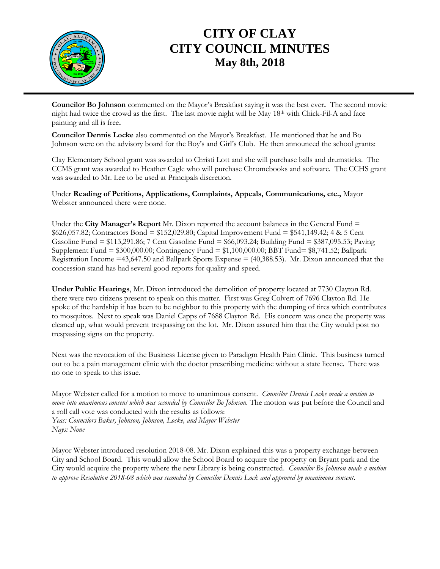

## **CITY OF CLAY CITY COUNCIL MINUTES May 8th, 2018**

**Councilor Bo Johnson** commented on the Mayor's Breakfast saying it was the best ever**.** The second movie night had twice the crowd as the first. The last movie night will be May 18th with Chick-Fil-A and face painting and all is free**.**

**Councilor Dennis Locke** also commented on the Mayor's Breakfast. He mentioned that he and Bo Johnson were on the advisory board for the Boy's and Girl's Club. He then announced the school grants:

Clay Elementary School grant was awarded to Christi Lott and she will purchase balls and drumsticks. The CCMS grant was awarded to Heather Cagle who will purchase Chromebooks and software. The CCHS grant was awarded to Mr. Lee to be used at Principals discretion.

Under **Reading of Petitions, Applications, Complaints, Appeals, Communications, etc.,** Mayor Webster announced there were none.

Under the **City Manager's Report** Mr. Dixon reported the account balances in the General Fund = \$626,057.82; Contractors Bond = \$152,029.80; Capital Improvement Fund = \$541,149.42; 4 & 5 Cent Gasoline Fund = \$113,291.86; 7 Cent Gasoline Fund = \$66,093.24; Building Fund = \$387,095.53; Paving Supplement Fund = \$300,000.00; Contingency Fund = \$1,100,000.00; BBT Fund= \$8,741.52; Ballpark Registration Income =43,647.50 and Ballpark Sports Expense = (40,388.53). Mr. Dixon announced that the concession stand has had several good reports for quality and speed.

**Under Public Hearings**, Mr. Dixon introduced the demolition of property located at 7730 Clayton Rd. there were two citizens present to speak on this matter. First was Greg Colvert of 7696 Clayton Rd. He spoke of the hardship it has been to be neighbor to this property with the dumping of tires which contributes to mosquitos. Next to speak was Daniel Capps of 7688 Clayton Rd. His concern was once the property was cleaned up, what would prevent trespassing on the lot. Mr. Dixon assured him that the City would post no trespassing signs on the property.

Next was the revocation of the Business License given to Paradigm Health Pain Clinic. This business turned out to be a pain management clinic with the doctor prescribing medicine without a state license. There was no one to speak to this issue.

Mayor Webster called for a motion to move to unanimous consent. *Councilor Dennis Locke made a motion to move into unanimous consent which was seconded by Councilor Bo Johnson.* The motion was put before the Council and a roll call vote was conducted with the results as follows: *Yeas: Councilors Baker, Johnson, Johnson, Locke, and Mayor Webster Nays: None*

Mayor Webster introduced resolution 2018-08. Mr. Dixon explained this was a property exchange between City and School Board. This would allow the School Board to acquire the property on Bryant park and the City would acquire the property where the new Library is being constructed. *Councilor Bo Johnson made a motion to approve Resolution 2018-08 which was seconded by Councilor Dennis Lock and approved by unanimous consent*.